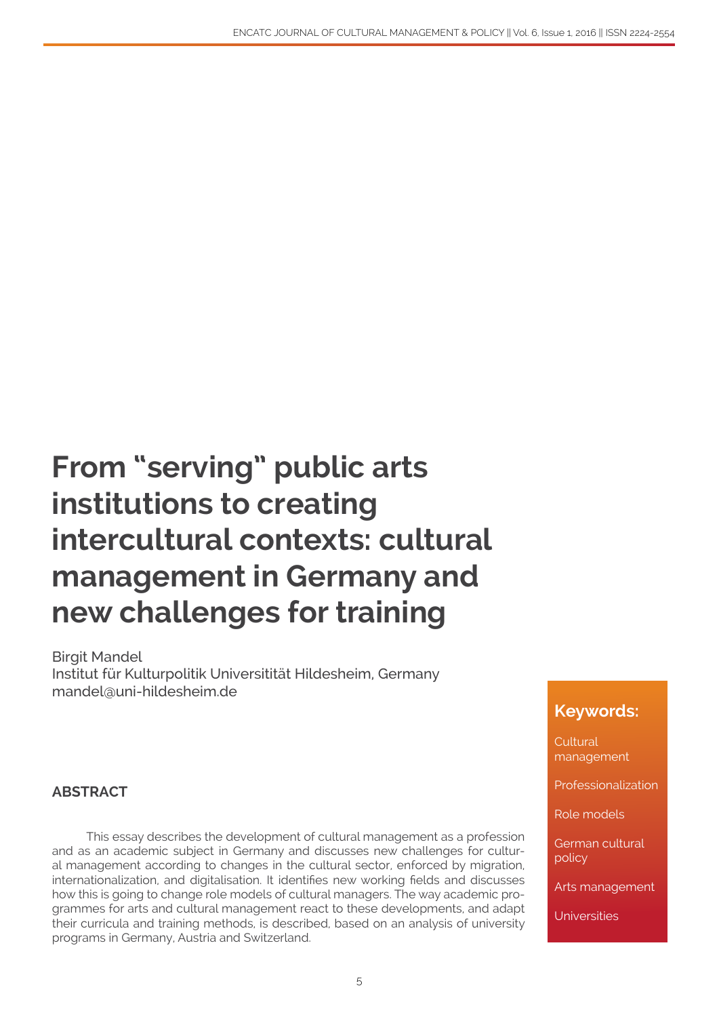# **From "serving" public arts institutions to creating intercultural contexts: cultural management in Germany and new challenges for training**

Birgit Mandel Institut für Kulturpolitik Universitität Hildesheim, Germany mandel@uni-hildesheim.de

#### **ABSTRACT**

This essay describes the development of cultural management as a profession and as an academic subject in Germany and discusses new challenges for cultural management according to changes in the cultural sector, enforced by migration, internationalization, and digitalisation. It identifies new working fields and discusses how this is going to change role models of cultural managers. The way academic programmes for arts and cultural management react to these developments, and adapt their curricula and training methods, is described, based on an analysis of university programs in Germany, Austria and Switzerland.

#### **Keywords:**

**Cultural** management

Professionalization

Role models

German cultural policy

Arts management

**Universities**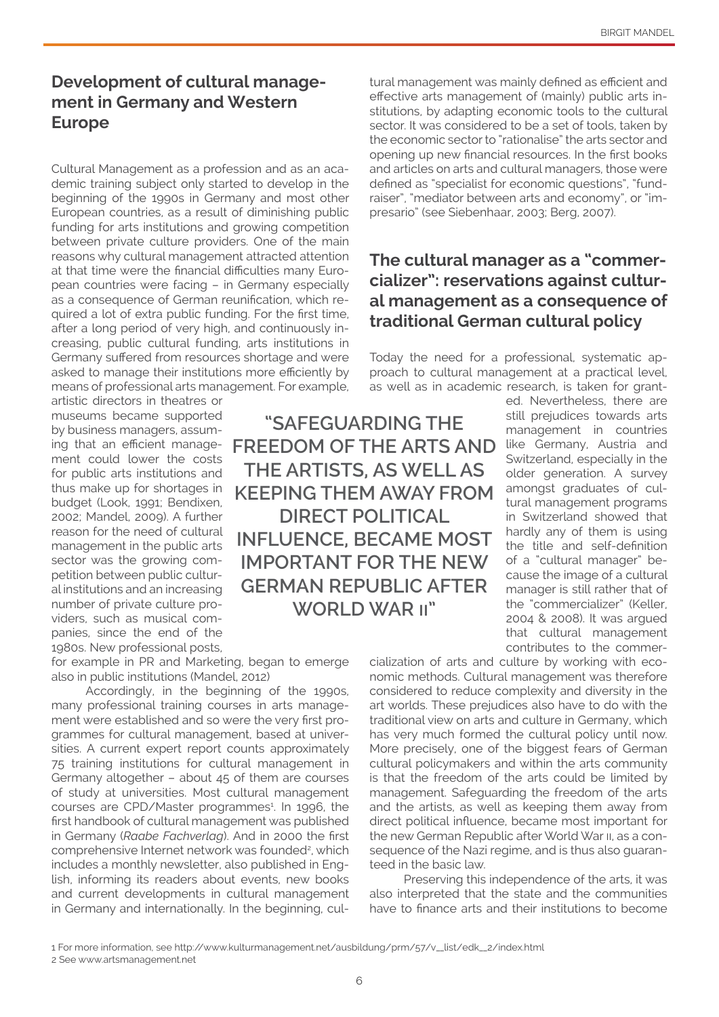## **Development of cultural management in Germany and Western Europe**

Cultural Management as a profession and as an academic training subject only started to develop in the beginning of the 1990s in Germany and most other European countries, as a result of diminishing public funding for arts institutions and growing competition between private culture providers. One of the main reasons why cultural management attracted attention at that time were the financial difficulties many European countries were facing – in Germany especially as a consequence of German reunification, which required a lot of extra public funding. For the first time, after a long period of very high, and continuously increasing, public cultural funding, arts institutions in Germany suffered from resources shortage and were asked to manage their institutions more efficiently by means of professional arts management. For example,

artistic directors in theatres or museums became supported by business managers, assuming that an efficient management could lower the costs for public arts institutions and thus make up for shortages in budget (Look, 1991; Bendixen, 2002; Mandel, 2009). A further reason for the need of cultural management in the public arts sector was the growing competition between public cultural institutions and an increasing number of private culture providers, such as musical companies, since the end of the 1980s. New professional posts,

for example in PR and Marketing, began to emerge also in public institutions (Mandel, 2012)

Accordingly, in the beginning of the 1990s, many professional training courses in arts management were established and so were the very first programmes for cultural management, based at universities. A current expert report counts approximately 75 training institutions for cultural management in Germany altogether – about 45 of them are courses of study at universities. Most cultural management courses are CPD/Master programmes<sup>1</sup>. In 1996, the first handbook of cultural management was published in Germany (*Raabe Fachverlag*). And in 2000 the first comprehensive Internet network was founded<sup>2</sup>, which includes a monthly newsletter, also published in English, informing its readers about events, new books and current developments in cultural management in Germany and internationally. In the beginning, cultural management was mainly defined as efficient and effective arts management of (mainly) public arts institutions, by adapting economic tools to the cultural sector. It was considered to be a set of tools, taken by the economic sector to "rationalise" the arts sector and opening up new financial resources. In the first books and articles on arts and cultural managers, those were defined as "specialist for economic questions", "fundraiser", "mediator between arts and economy", or "impresario" (see Siebenhaar, 2003; Berg, 2007).

# **The cultural manager as a "commercializer": reservations against cultural management as a consequence of traditional German cultural policy**

Today the need for a professional, systematic approach to cultural management at a practical level, as well as in academic research, is taken for grant-

> ed. Nevertheless, there are still prejudices towards arts management in countries like Germany, Austria and Switzerland, especially in the older generation. A survey amongst graduates of cultural management programs in Switzerland showed that hardly any of them is using the title and self-definition of a "cultural manager" because the image of a cultural manager is still rather that of the "commercializer" (Keller, 2004 & 2008). It was argued that cultural management contributes to the commer-

cialization of arts and culture by working with economic methods. Cultural management was therefore considered to reduce complexity and diversity in the art worlds. These prejudices also have to do with the traditional view on arts and culture in Germany, which has very much formed the cultural policy until now. More precisely, one of the biggest fears of German cultural policymakers and within the arts community is that the freedom of the arts could be limited by management. Safeguarding the freedom of the arts and the artists, as well as keeping them away from direct political influence, became most important for the new German Republic after World War ii, as a consequence of the Nazi regime, and is thus also guaranteed in the basic law.

Preserving this independence of the arts, it was also interpreted that the state and the communities have to finance arts and their institutions to become

**"SAFEGUARDING THE FREEDOM OF THE ARTS AND THE ARTISTS, AS WELL AS KEEPING THEM AWAY FROM DIRECT POLITICAL INFLUENCE, BECAME MOST IMPORTANT FOR THE NEW GERMAN REPUBLIC AFTER WORLD WAR ii"**

<sup>1</sup> For more information, see http://www.kulturmanagement.net/ausbildung/prm/57/v\_\_list/edk\_\_2/index.html

<sup>2</sup> See www.artsmanagement.net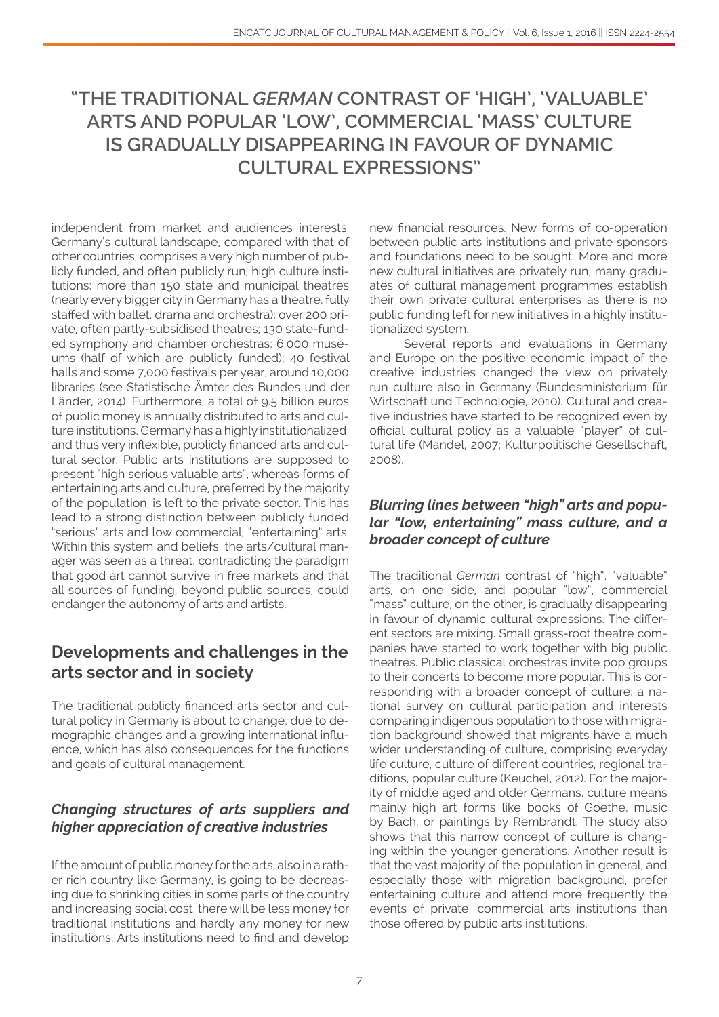# **"THE TRADITIONAL** *GERMAN* **CONTRAST OF 'HIGH', 'VALUABLE' ARTS AND POPULAR 'LOW', COMMERCIAL 'MASS' CULTURE IS GRADUALLY DISAPPEARING IN FAVOUR OF DYNAMIC CULTURAL EXPRESSIONS"**

independent from market and audiences interests. Germany's cultural landscape, compared with that of other countries, comprises a very high number of publicly funded, and often publicly run, high culture institutions: more than 150 state and municipal theatres (nearly every bigger city in Germany has a theatre, fully staffed with ballet, drama and orchestra); over 200 private, often partly-subsidised theatres; 130 state-funded symphony and chamber orchestras; 6,000 museums (half of which are publicly funded); 40 festival halls and some 7,000 festivals per year; around 10,000 libraries (see Statistische Ämter des Bundes und der Länder, 2014). Furthermore, a total of 9.5 billion euros of public money is annually distributed to arts and culture institutions. Germany has a highly institutionalized, and thus very inflexible, publicly financed arts and cultural sector. Public arts institutions are supposed to present "high serious valuable arts", whereas forms of entertaining arts and culture, preferred by the majority of the population, is left to the private sector. This has lead to a strong distinction between publicly funded "serious" arts and low commercial, "entertaining" arts. Within this system and beliefs, the arts/cultural manager was seen as a threat, contradicting the paradigm that good art cannot survive in free markets and that all sources of funding, beyond public sources, could endanger the autonomy of arts and artists.

# **Developments and challenges in the arts sector and in society**

The traditional publicly financed arts sector and cultural policy in Germany is about to change, due to demographic changes and a growing international influence, which has also consequences for the functions and goals of cultural management.

#### *Changing structures of arts suppliers and higher appreciation of creative industries*

If the amount of public money for the arts, also in a rather rich country like Germany, is going to be decreasing due to shrinking cities in some parts of the country and increasing social cost, there will be less money for traditional institutions and hardly any money for new institutions. Arts institutions need to find and develop

new financial resources. New forms of co-operation between public arts institutions and private sponsors and foundations need to be sought. More and more new cultural initiatives are privately run, many graduates of cultural management programmes establish their own private cultural enterprises as there is no public funding left for new initiatives in a highly institutionalized system.

Several reports and evaluations in Germany and Europe on the positive economic impact of the creative industries changed the view on privately run culture also in Germany (Bundesministerium für Wirtschaft und Technologie, 2010). Cultural and creative industries have started to be recognized even by official cultural policy as a valuable "player" of cultural life (Mandel, 2007; Kulturpolitische Gesellschaft, 2008).

#### *Blurring lines between "high" arts and popular "low, entertaining" mass culture, and a broader concept of culture*

The traditional *German* contrast of "high", "valuable" arts, on one side, and popular "low", commercial "mass" culture, on the other, is gradually disappearing in favour of dynamic cultural expressions. The different sectors are mixing. Small grass-root theatre companies have started to work together with big public theatres. Public classical orchestras invite pop groups to their concerts to become more popular. This is corresponding with a broader concept of culture: a national survey on cultural participation and interests comparing indigenous population to those with migration background showed that migrants have a much wider understanding of culture, comprising everyday life culture, culture of different countries, regional traditions, popular culture (Keuchel, 2012). For the majority of middle aged and older Germans, culture means mainly high art forms like books of Goethe, music by Bach, or paintings by Rembrandt. The study also shows that this narrow concept of culture is changing within the younger generations. Another result is that the vast majority of the population in general, and especially those with migration background, prefer entertaining culture and attend more frequently the events of private, commercial arts institutions than those offered by public arts institutions.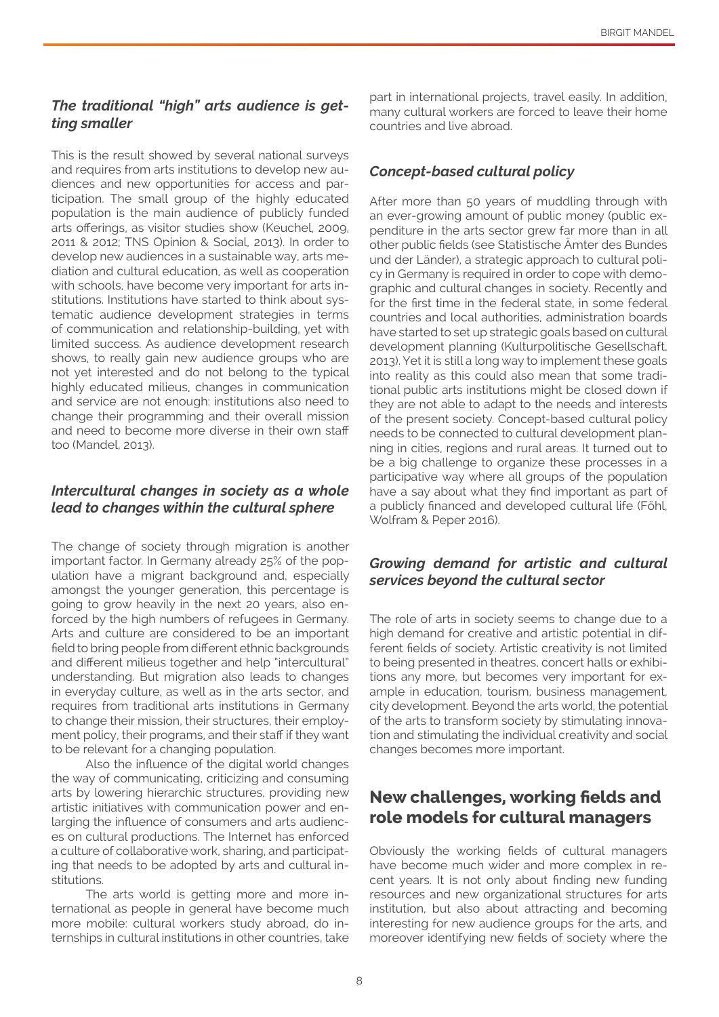#### *The traditional "high" arts audience is getting smaller*

This is the result showed by several national surveys and requires from arts institutions to develop new audiences and new opportunities for access and participation. The small group of the highly educated population is the main audience of publicly funded arts offerings, as visitor studies show (Keuchel, 2009, 2011 & 2012; TNS Opinion & Social, 2013). In order to develop new audiences in a sustainable way, arts mediation and cultural education, as well as cooperation with schools, have become very important for arts institutions. Institutions have started to think about systematic audience development strategies in terms of communication and relationship-building, yet with limited success. As audience development research shows, to really gain new audience groups who are not yet interested and do not belong to the typical highly educated milieus, changes in communication and service are not enough: institutions also need to change their programming and their overall mission and need to become more diverse in their own staff too (Mandel, 2013).

#### *Intercultural changes in society as a whole lead to changes within the cultural sphere*

The change of society through migration is another important factor. In Germany already 25% of the population have a migrant background and, especially amongst the younger generation, this percentage is going to grow heavily in the next 20 years, also enforced by the high numbers of refugees in Germany. Arts and culture are considered to be an important field to bring people from different ethnic backgrounds and different milieus together and help "intercultural" understanding. But migration also leads to changes in everyday culture, as well as in the arts sector, and requires from traditional arts institutions in Germany to change their mission, their structures, their employment policy, their programs, and their staff if they want to be relevant for a changing population.

Also the influence of the digital world changes the way of communicating, criticizing and consuming arts by lowering hierarchic structures, providing new artistic initiatives with communication power and enlarging the influence of consumers and arts audiences on cultural productions. The Internet has enforced a culture of collaborative work, sharing, and participating that needs to be adopted by arts and cultural institutions.

The arts world is getting more and more international as people in general have become much more mobile: cultural workers study abroad, do internships in cultural institutions in other countries, take

part in international projects, travel easily. In addition, many cultural workers are forced to leave their home countries and live abroad.

#### *Concept-based cultural policy*

After more than 50 years of muddling through with an ever-growing amount of public money (public expenditure in the arts sector grew far more than in all other public fields (see Statistische Ämter des Bundes und der Länder), a strategic approach to cultural policy in Germany is required in order to cope with demographic and cultural changes in society. Recently and for the first time in the federal state, in some federal countries and local authorities, administration boards have started to set up strategic goals based on cultural development planning (Kulturpolitische Gesellschaft, 2013). Yet it is still a long way to implement these goals into reality as this could also mean that some traditional public arts institutions might be closed down if they are not able to adapt to the needs and interests of the present society. Concept-based cultural policy needs to be connected to cultural development planning in cities, regions and rural areas. It turned out to be a big challenge to organize these processes in a participative way where all groups of the population have a say about what they find important as part of a publicly financed and developed cultural life (Föhl, Wolfram & Peper 2016).

#### *Growing demand for artistic and cultural services beyond the cultural sector*

The role of arts in society seems to change due to a high demand for creative and artistic potential in different fields of society. Artistic creativity is not limited to being presented in theatres, concert halls or exhibitions any more, but becomes very important for example in education, tourism, business management, city development. Beyond the arts world, the potential of the arts to transform society by stimulating innovation and stimulating the individual creativity and social changes becomes more important.

# **New challenges, working fields and role models for cultural managers**

Obviously the working fields of cultural managers have become much wider and more complex in recent years. It is not only about finding new funding resources and new organizational structures for arts institution, but also about attracting and becoming interesting for new audience groups for the arts, and moreover identifying new fields of society where the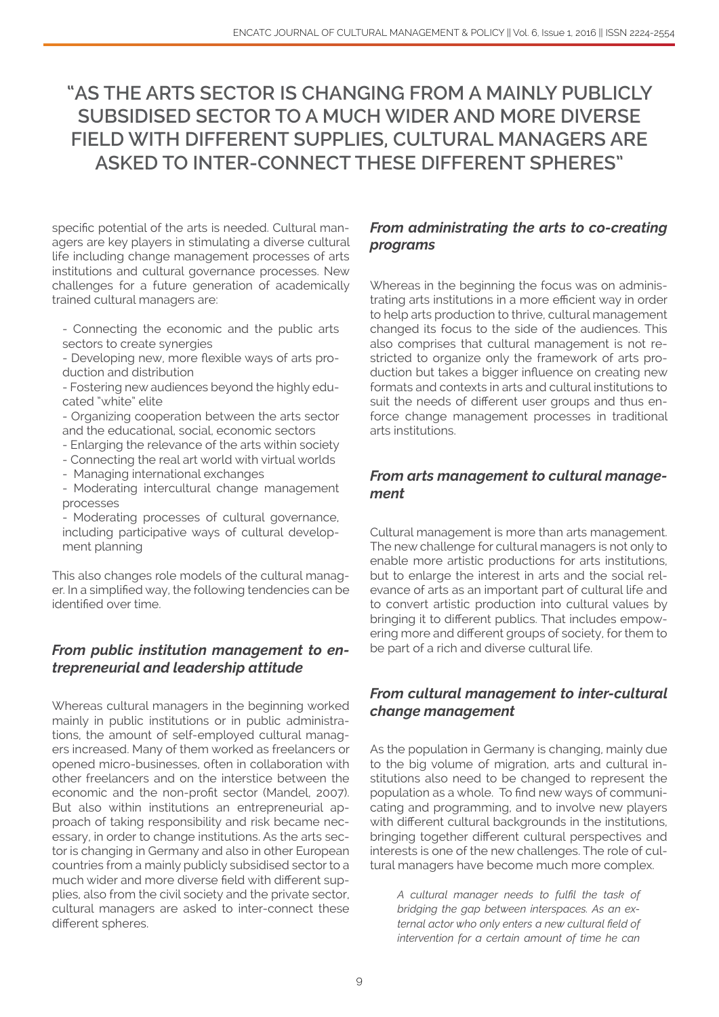# **"AS THE ARTS SECTOR IS CHANGING FROM A MAINLY PUBLICLY SUBSIDISED SECTOR TO A MUCH WIDER AND MORE DIVERSE FIELD WITH DIFFERENT SUPPLIES, CULTURAL MANAGERS ARE ASKED TO INTER-CONNECT THESE DIFFERENT SPHERES"**

specific potential of the arts is needed. Cultural managers are key players in stimulating a diverse cultural life including change management processes of arts institutions and cultural governance processes. New challenges for a future generation of academically trained cultural managers are:

- Connecting the economic and the public arts sectors to create synergies
- Developing new, more flexible ways of arts production and distribution

- Fostering new audiences beyond the highly educated "white" elite

- Organizing cooperation between the arts sector and the educational, social, economic sectors

- Enlarging the relevance of the arts within society
- Connecting the real art world with virtual worlds
- Managing international exchanges

- Moderating intercultural change management processes

- Moderating processes of cultural governance, including participative ways of cultural development planning

This also changes role models of the cultural manager. In a simplified way, the following tendencies can be identified over time.

#### *From public institution management to entrepreneurial and leadership attitude*

Whereas cultural managers in the beginning worked mainly in public institutions or in public administrations, the amount of self-employed cultural managers increased. Many of them worked as freelancers or opened micro-businesses, often in collaboration with other freelancers and on the interstice between the economic and the non-profit sector (Mandel, 2007). But also within institutions an entrepreneurial approach of taking responsibility and risk became necessary, in order to change institutions. As the arts sector is changing in Germany and also in other European countries from a mainly publicly subsidised sector to a much wider and more diverse field with different supplies, also from the civil society and the private sector, cultural managers are asked to inter-connect these different spheres.

#### *From administrating the arts to co-creating programs*

Whereas in the beginning the focus was on administrating arts institutions in a more efficient way in order to help arts production to thrive, cultural management changed its focus to the side of the audiences. This also comprises that cultural management is not restricted to organize only the framework of arts production but takes a bigger influence on creating new formats and contexts in arts and cultural institutions to suit the needs of different user groups and thus enforce change management processes in traditional arts institutions.

#### *From arts management to cultural management*

Cultural management is more than arts management. The new challenge for cultural managers is not only to enable more artistic productions for arts institutions, but to enlarge the interest in arts and the social relevance of arts as an important part of cultural life and to convert artistic production into cultural values by bringing it to different publics. That includes empowering more and different groups of society, for them to be part of a rich and diverse cultural life.

#### *From cultural management to inter-cultural change management*

As the population in Germany is changing, mainly due to the big volume of migration, arts and cultural institutions also need to be changed to represent the population as a whole. To find new ways of communicating and programming, and to involve new players with different cultural backgrounds in the institutions, bringing together different cultural perspectives and interests is one of the new challenges. The role of cultural managers have become much more complex.

*A cultural manager needs to fulfil the task of bridging the gap between interspaces. As an external actor who only enters a new cultural field of intervention for a certain amount of time he can*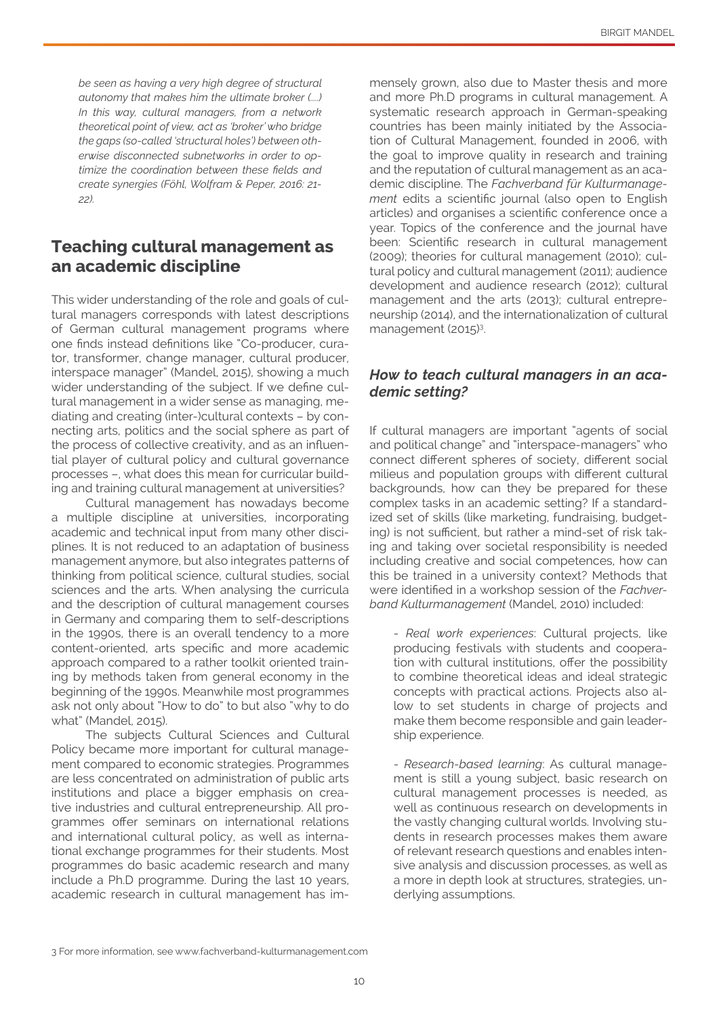*be seen as having a very high degree of structural autonomy that makes him the ultimate broker (....) In this way, cultural managers, from a network theoretical point of view, act as 'broker' who bridge the gaps (so-called 'structural holes') between otherwise disconnected subnetworks in order to optimize the coordination between these fields and create synergies (Föhl, Wolfram & Peper, 2016: 21- 22).*

### **Teaching cultural management as an academic discipline**

This wider understanding of the role and goals of cultural managers corresponds with latest descriptions of German cultural management programs where one finds instead definitions like "Co-producer, curator, transformer, change manager, cultural producer, interspace manager" (Mandel, 2015), showing a much wider understanding of the subject. If we define cultural management in a wider sense as managing, mediating and creating (inter-)cultural contexts – by connecting arts, politics and the social sphere as part of the process of collective creativity, and as an influential player of cultural policy and cultural governance processes –, what does this mean for curricular building and training cultural management at universities?

Cultural management has nowadays become a multiple discipline at universities, incorporating academic and technical input from many other disciplines. It is not reduced to an adaptation of business management anymore, but also integrates patterns of thinking from political science, cultural studies, social sciences and the arts. When analysing the curricula and the description of cultural management courses in Germany and comparing them to self-descriptions in the 1990s, there is an overall tendency to a more content-oriented, arts specific and more academic approach compared to a rather toolkit oriented training by methods taken from general economy in the beginning of the 1990s. Meanwhile most programmes ask not only about "How to do" to but also "why to do what" (Mandel, 2015).

The subjects Cultural Sciences and Cultural Policy became more important for cultural management compared to economic strategies. Programmes are less concentrated on administration of public arts institutions and place a bigger emphasis on creative industries and cultural entrepreneurship. All programmes offer seminars on international relations and international cultural policy, as well as international exchange programmes for their students. Most programmes do basic academic research and many include a Ph.D programme. During the last 10 years, academic research in cultural management has immensely grown, also due to Master thesis and more and more Ph.D programs in cultural management. A systematic research approach in German-speaking countries has been mainly initiated by the Association of Cultural Management, founded in 2006, with the goal to improve quality in research and training and the reputation of cultural management as an academic discipline. The *Fachverband für Kulturmanagement* edits a scientific journal (also open to English articles) and organises a scientific conference once a year. Topics of the conference and the journal have been: Scientific research in cultural management (2009); theories for cultural management (2010); cultural policy and cultural management (2011); audience development and audience research (2012); cultural management and the arts (2013); cultural entrepreneurship (2014), and the internationalization of cultural management (2015)<sup>3</sup>. .

#### *How to teach cultural managers in an academic setting?*

If cultural managers are important "agents of social and political change" and "interspace-managers" who connect different spheres of society, different social milieus and population groups with different cultural backgrounds, how can they be prepared for these complex tasks in an academic setting? If a standardized set of skills (like marketing, fundraising, budgeting) is not sufficient, but rather a mind-set of risk taking and taking over societal responsibility is needed including creative and social competences, how can this be trained in a university context? Methods that were identified in a workshop session of the *Fachverband Kulturmanagement* (Mandel, 2010) included:

- *Real work experiences*: Cultural projects, like producing festivals with students and cooperation with cultural institutions, offer the possibility to combine theoretical ideas and ideal strategic concepts with practical actions. Projects also allow to set students in charge of projects and make them become responsible and gain leadership experience.

- *Research-based learning*: As cultural management is still a young subject, basic research on cultural management processes is needed, as well as continuous research on developments in the vastly changing cultural worlds. Involving students in research processes makes them aware of relevant research questions and enables intensive analysis and discussion processes, as well as a more in depth look at structures, strategies, underlying assumptions.

<sup>3</sup> For more information, see www.fachverband-kulturmanagement.com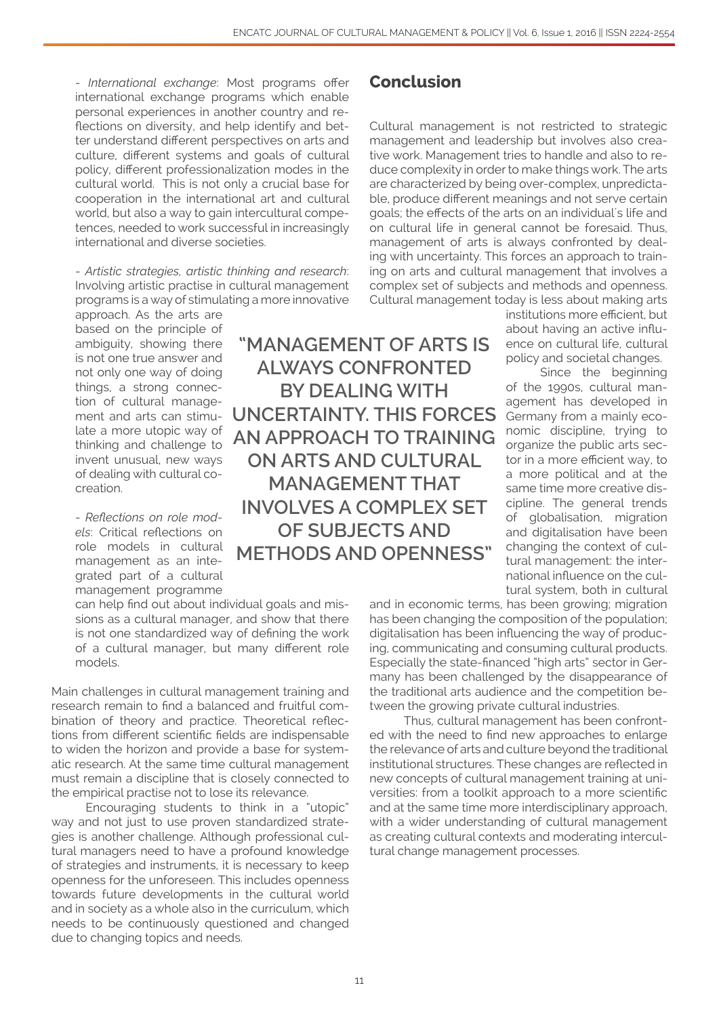- *International exchange*: Most programs offer international exchange programs which enable personal experiences in another country and reflections on diversity, and help identify and better understand different perspectives on arts and culture, different systems and goals of cultural policy, different professionalization modes in the cultural world. This is not only a crucial base for cooperation in the international art and cultural world, but also a way to gain intercultural competences, needed to work successful in increasingly international and diverse societies.

- *Artistic strategies, artistic thinking and research*: Involving artistic practise in cultural management programs is a way of stimulating a more innovative

approach. As the arts are based on the principle of ambiguity, showing there is not one true answer and not only one way of doing things, a strong connection of cultural management and arts can stimulate a more utopic way of thinking and challenge to invent unusual, new ways of dealing with cultural cocreation.

- *Reflections on role models*: Critical reflections on role models in cultural management as an integrated part of a cultural management programme

can help find out about individual goals and missions as a cultural manager, and show that there is not one standardized way of defining the work of a cultural manager, but many different role models.

Main challenges in cultural management training and research remain to find a balanced and fruitful combination of theory and practice. Theoretical reflections from different scientific fields are indispensable to widen the horizon and provide a base for systematic research. At the same time cultural management must remain a discipline that is closely connected to the empirical practise not to lose its relevance.

Encouraging students to think in a "utopic" way and not just to use proven standardized strategies is another challenge. Although professional cultural managers need to have a profound knowledge of strategies and instruments, it is necessary to keep openness for the unforeseen. This includes openness towards future developments in the cultural world and in society as a whole also in the curriculum, which needs to be continuously questioned and changed due to changing topics and needs.

**Conclusion**

Cultural management is not restricted to strategic management and leadership but involves also creative work. Management tries to handle and also to reduce complexity in order to make things work. The arts are characterized by being over-complex, unpredictable, produce different meanings and not serve certain goals; the effects of the arts on an individual´s life and on cultural life in general cannot be foresaid. Thus, management of arts is always confronted by dealing with uncertainty. This forces an approach to training on arts and cultural management that involves a complex set of subjects and methods and openness. Cultural management today is less about making arts

institutions more efficient, but about having an active influence on cultural life, cultural policy and societal changes.

Since the beginning of the 1990s, cultural management has developed in Germany from a mainly economic discipline, trying to organize the public arts sector in a more efficient way, to a more political and at the same time more creative discipline. The general trends of globalisation, migration and digitalisation have been changing the context of cultural management: the international influence on the cultural system, both in cultural

and in economic terms, has been growing; migration has been changing the composition of the population; digitalisation has been influencing the way of producing, communicating and consuming cultural products. Especially the state-financed "high arts" sector in Germany has been challenged by the disappearance of the traditional arts audience and the competition between the growing private cultural industries.

Thus, cultural management has been confronted with the need to find new approaches to enlarge the relevance of arts and culture beyond the traditional institutional structures. These changes are reflected in new concepts of cultural management training at universities: from a toolkit approach to a more scientific and at the same time more interdisciplinary approach, with a wider understanding of cultural management as creating cultural contexts and moderating intercultural change management processes.

**ALWAYS CONFRONTED BY DEALING WITH UNCERTAINTY. THIS FORCES AN APPROACH TO TRAINING ON ARTS AND CULTURAL MANAGEMENT THAT INVOLVES A COMPLEX SET OF SUBJECTS AND METHODS AND OPENNESS"**

**"MANAGEMENT OF ARTS IS**